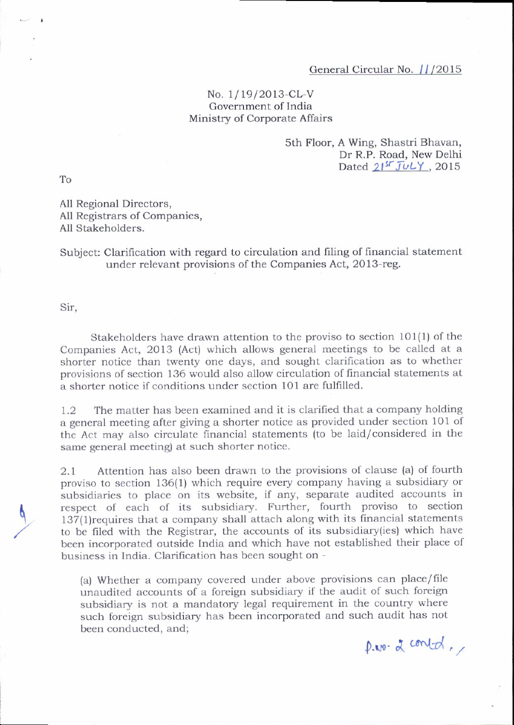## General Circular No. 11/2015

## No. 1/19/2013-CL-V Government of India Ministry of Corporate Affairs

## 5th Floor, A wing, Shastri Bhavan, Dr R.P. Road, New Delhi Dated  $21^{5}$  JuLY, 2015

To

All Regional Directors, All Registrars of companies, All Stakeholders.

Subject: Clarification with regard to circulation and filing of financial statement under relevant provisions of the Companies Act, 20l3-reg.

Sir,

Stakeholders have drawn attention to the proviso to section 101{1) of the Companies Act, 2013 (Act) which allows general meetings to be called at <sup>a</sup> shorter notice than twenty one days, and sought clarification as to whether provisions of section 136 would also allou' circulation of financial statements at a shorter notice if conditions under section 101 are fulfilled.

1.2 The matter has been examined and it is clarified that a company holding a general meeting after giving a shorter notice as provided under section 101 of the Act may also circulate financial statements (to be laid/considered in the same general meeting) at such shorter notice.

2.1 Attention has also been drawn to the provisions of clause (a) of fourth proviso to section 136(1) which require every company having a subsidiary or subsidiaries to place on its website, if any, separate audited accounts in respect of each of its subsidiary. Further, fourth proviso to section '137(1)requires that a company shall attach along with its financial statements to be filed with the Registrar, the accounts of its subsidiary{ies) which have been incorporated outside India and which have not established their place of business in India. Clarification has been sought on -

(a) Whether a company covered under above provisions can place/file unaudited accounts of a foreign subsidiary if the audit of such foreign subsidiary is not a mandatory legal requirement in the country where such foreign subsidiary has been incorporated and such audit has not been conducted. and:

 $p.m.\ z$  contrd,